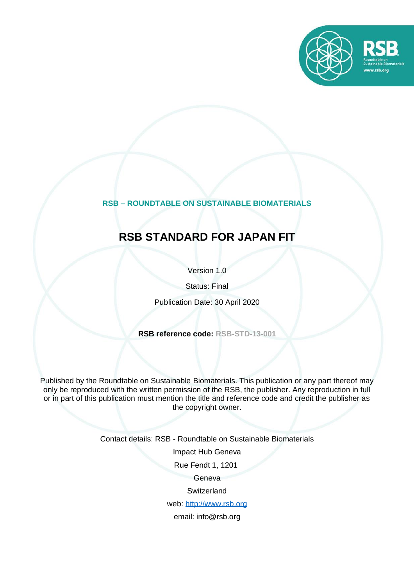

#### **RSB – ROUNDTABLE ON SUSTAINABLE BIOMATERIALS**

## **RSB STANDARD FOR JAPAN FIT**

Version 1.0

Status: Final

Publication Date: 30 April 2020

**RSB reference code: RSB-STD-13-001**

Published by the Roundtable on Sustainable Biomaterials. This publication or any part thereof may only be reproduced with the written permission of the RSB, the publisher. Any reproduction in full or in part of this publication must mention the title and reference code and credit the publisher as the copyright owner.

Contact details: RSB - Roundtable on Sustainable Biomaterials

Impact Hub Geneva

Rue Fendt 1, 1201

Geneva

**Switzerland** 

web: [http://www.rsb.org](http://www.rsb.org/)

email: info@rsb.org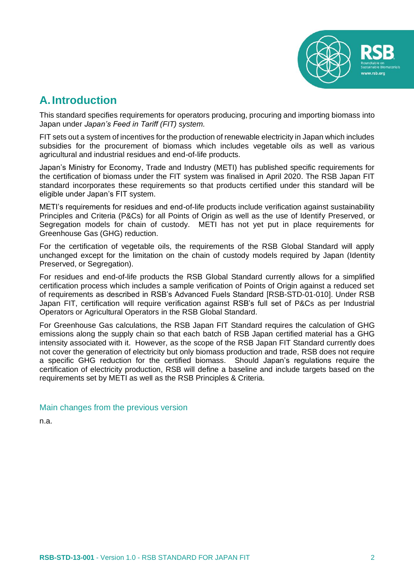

## <span id="page-1-0"></span>**A.Introduction**

This standard specifies requirements for operators producing, procuring and importing biomass into Japan under *Japan's Feed in Tariff (FIT) system.*

FIT sets out a system of incentives for the production of renewable electricity in Japan which includes subsidies for the procurement of biomass which includes vegetable oils as well as various agricultural and industrial residues and end-of-life products.

Japan's Ministry for Economy, Trade and Industry (METI) has published specific requirements for the certification of biomass under the FIT system was finalised in April 2020. The RSB Japan FIT standard incorporates these requirements so that products certified under this standard will be eligible under Japan's FIT system.

METI's requirements for residues and end-of-life products include verification against sustainability Principles and Criteria (P&Cs) for all Points of Origin as well as the use of Identify Preserved, or Segregation models for chain of custody. METI has not yet put in place requirements for Greenhouse Gas (GHG) reduction.

For the certification of vegetable oils, the requirements of the RSB Global Standard will apply unchanged except for the limitation on the chain of custody models required by Japan (Identity Preserved, or Segregation).

For residues and end-of-life products the RSB Global Standard currently allows for a simplified certification process which includes a sample verification of Points of Origin against a reduced set of requirements as described in RSB's Advanced Fuels Standard [RSB-STD-01-010]. Under RSB Japan FIT, certification will require verification against RSB's full set of P&Cs as per Industrial Operators or Agricultural Operators in the RSB Global Standard.

For Greenhouse Gas calculations, the RSB Japan FIT Standard requires the calculation of GHG emissions along the supply chain so that each batch of RSB Japan certified material has a GHG intensity associated with it. However, as the scope of the RSB Japan FIT Standard currently does not cover the generation of electricity but only biomass production and trade, RSB does not require a specific GHG reduction for the certified biomass. Should Japan's regulations require the certification of electricity production, RSB will define a baseline and include targets based on the requirements set by METI as well as the RSB Principles & Criteria.

#### Main changes from the previous version

n.a.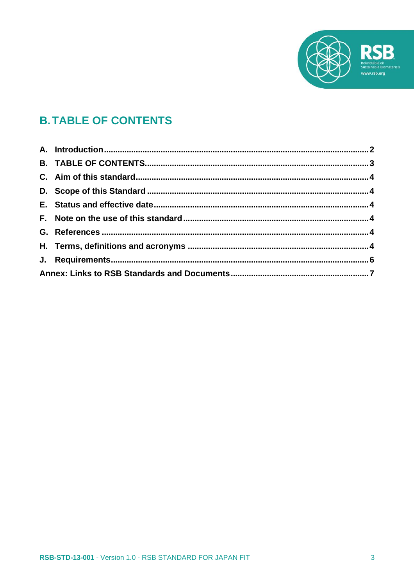

# <span id="page-2-0"></span>**B. TABLE OF CONTENTS**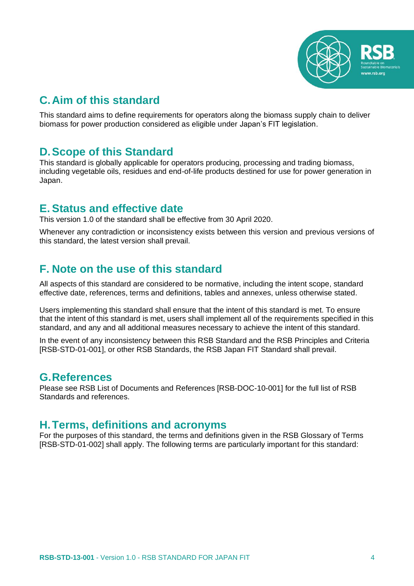

## <span id="page-3-0"></span>**C.Aim of this standard**

This standard aims to define requirements for operators along the biomass supply chain to deliver biomass for power production considered as eligible under Japan's FIT legislation.

### <span id="page-3-1"></span>**D.Scope of this Standard**

This standard is globally applicable for operators producing, processing and trading biomass, including vegetable oils, residues and end-of-life products destined for use for power generation in Japan.

### <span id="page-3-2"></span>**E. Status and effective date**

This version 1.0 of the standard shall be effective from 30 April 2020.

Whenever any contradiction or inconsistency exists between this version and previous versions of this standard, the latest version shall prevail.

## <span id="page-3-3"></span>**F. Note on the use of this standard**

All aspects of this standard are considered to be normative, including the intent scope, standard effective date, references, terms and definitions, tables and annexes, unless otherwise stated.

Users implementing this standard shall ensure that the intent of this standard is met. To ensure that the intent of this standard is met, users shall implement all of the requirements specified in this standard, and any and all additional measures necessary to achieve the intent of this standard.

In the event of any inconsistency between this RSB Standard and the RSB Principles and Criteria [RSB-STD-01-001], or other RSB Standards, the RSB Japan FIT Standard shall prevail.

#### <span id="page-3-4"></span>**G.References**

Please see RSB List of Documents and References [RSB-DOC-10-001] for the full list of RSB Standards and references.

### <span id="page-3-5"></span>**H.Terms, definitions and acronyms**

For the purposes of this standard, the terms and definitions given in the RSB Glossary of Terms [RSB-STD-01-002] shall apply. The following terms are particularly important for this standard: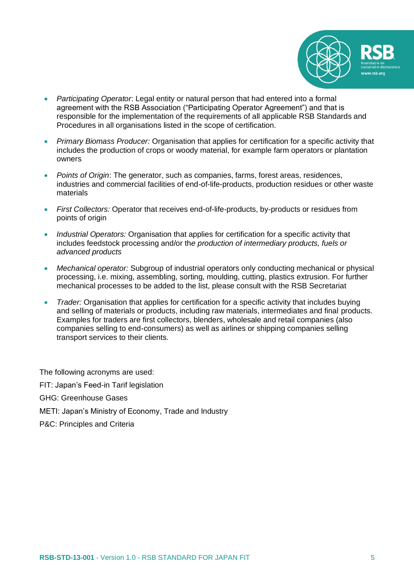

- *Participating Operator*: Legal entity or natural person that had entered into a formal agreement with the RSB Association ("Participating Operator Agreement") and that is responsible for the implementation of the requirements of all applicable RSB Standards and Procedures in all organisations listed in the scope of certification.
- *Primary Biomass Producer:* Organisation that applies for certification for a specific activity that includes the production of crops or woody material, for example farm operators or plantation owners
- *Points of Origin*: The generator, such as companies, farms, forest areas, residences, industries and commercial facilities of end-of-life-products, production residues or other waste materials
- *First Collectors:* Operator that receives end-of-life-products, by-products or residues from points of origin
- *Industrial Operators:* Organisation that applies for certification for a specific activity that includes feedstock processing and/or th*e production of intermediary products, fuels or advanced products*
- *Mechanical operator:* Subgroup of industrial operators only conducting mechanical or physical processing, i.e. mixing, assembling, sorting, moulding, cutting, plastics extrusion. For further mechanical processes to be added to the list, please consult with the RSB Secretariat
- *Trader:* Organisation that applies for certification for a specific activity that includes buying and selling of materials or products, including raw materials, intermediates and final products. Examples for traders are first collectors, blenders, wholesale and retail companies (also companies selling to end-consumers) as well as airlines or shipping companies selling transport services to their clients.

The following acronyms are used:

FIT: Japan's Feed-in Tarif legislation

- GHG: Greenhouse Gases
- METI: Japan's Ministry of Economy, Trade and Industry
- P&C: Principles and Criteria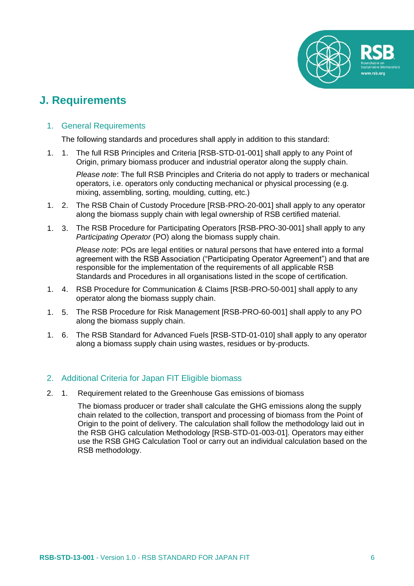

## <span id="page-5-0"></span>**J. Requirements**

#### 1. General Requirements

The following standards and procedures shall apply in addition to this standard:

1. 1. The full RSB Principles and Criteria [RSB-STD-01-001] shall apply to any Point of Origin, primary biomass producer and industrial operator along the supply chain.

*Please note*: The full RSB Principles and Criteria do not apply to traders or mechanical operators, i.e. operators only conducting mechanical or physical processing (e.g. mixing, assembling, sorting, moulding, cutting, etc.)

- 1. 2. The RSB Chain of Custody Procedure [RSB-PRO-20-001] shall apply to any operator along the biomass supply chain with legal ownership of RSB certified material.
- 1. 3. The RSB Procedure for Participating Operators [RSB-PRO-30-001] shall apply to any *Participating Operator* (PO) along the biomass supply chain.

*Please note*: POs are legal entities or natural persons that have entered into a formal agreement with the RSB Association ("Participating Operator Agreement") and that are responsible for the implementation of the requirements of all applicable RSB Standards and Procedures in all organisations listed in the scope of certification.

- 1. 4. RSB Procedure for Communication & Claims [RSB-PRO-50-001] shall apply to any operator along the biomass supply chain.
- 1. 5. The RSB Procedure for Risk Management [RSB-PRO-60-001] shall apply to any PO along the biomass supply chain.
- 1. 6. The RSB Standard for Advanced Fuels [RSB-STD-01-010] shall apply to any operator along a biomass supply chain using wastes, residues or by-products.

#### 2. Additional Criteria for Japan FIT Eligible biomass

2. 1. Requirement related to the Greenhouse Gas emissions of biomass

The biomass producer or trader shall calculate the GHG emissions along the supply chain related to the collection, transport and processing of biomass from the Point of Origin to the point of delivery. The calculation shall follow the methodology laid out in the RSB GHG calculation Methodology [RSB-STD-01-003-01]. Operators may either use the RSB GHG Calculation Tool or carry out an individual calculation based on the RSB methodology.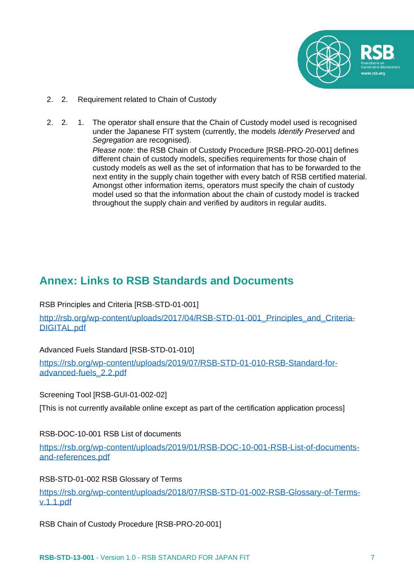

- 2. 2. Requirement related to Chain of Custody
- 2. 2. 1. The operator shall ensure that the Chain of Custody model used is recognised under the Japanese FIT system (currently, the models *Identify Preserved* and *Segregation* are recognised).

*Please note*: the RSB Chain of Custody Procedure [RSB-PRO-20-001] defines different chain of custody models, specifies requirements for those chain of custody models as well as the set of information that has to be forwarded to the next entity in the supply chain together with every batch of RSB certified material. Amongst other information items, operators must specify the chain of custody model used so that the information about the chain of custody model is tracked throughout the supply chain and verified by auditors in regular audits.

### <span id="page-6-0"></span>**Annex: Links to RSB Standards and Documents**

RSB Principles and Criteria [RSB-STD-01-001]

http://rsb.org/wp-content/uploads/2017/04/RSB-STD-01-001 Principles and Criteria-[DIGITAL.pdf](http://rsb.org/wp-content/uploads/2017/04/RSB-STD-01-001_Principles_and_Criteria-DIGITAL.pdf)

Advanced Fuels Standard [RSB-STD-01-010]

[https://rsb.org/wp-content/uploads/2019/07/RSB-STD-01-010-RSB-Standard-for](https://rsb.org/wp-content/uploads/2019/07/RSB-STD-01-010-RSB-Standard-for-advanced-fuels_2.2.pdf)[advanced-fuels\\_2.2.pdf](https://rsb.org/wp-content/uploads/2019/07/RSB-STD-01-010-RSB-Standard-for-advanced-fuels_2.2.pdf)

Screening Tool [RSB-GUI-01-002-02]

[This is not currently available online except as part of the certification application process]

RSB-DOC-10-001 RSB List of documents

[https://rsb.org/wp-content/uploads/2019/01/RSB-DOC-10-001-RSB-List-of-documents](https://rsb.org/wp-content/uploads/2019/01/RSB-DOC-10-001-RSB-List-of-documents-and-references.pdf)[and-references.pdf](https://rsb.org/wp-content/uploads/2019/01/RSB-DOC-10-001-RSB-List-of-documents-and-references.pdf)

RSB-STD-01-002 RSB Glossary of Terms

[https://rsb.org/wp-content/uploads/2018/07/RSB-STD-01-002-RSB-Glossary-of-Terms](https://rsb.org/wp-content/uploads/2018/07/RSB-STD-01-002-RSB-Glossary-of-Terms-v.1.1.pdf)[v.1.1.pdf](https://rsb.org/wp-content/uploads/2018/07/RSB-STD-01-002-RSB-Glossary-of-Terms-v.1.1.pdf)

RSB Chain of Custody Procedure [RSB-PRO-20-001]